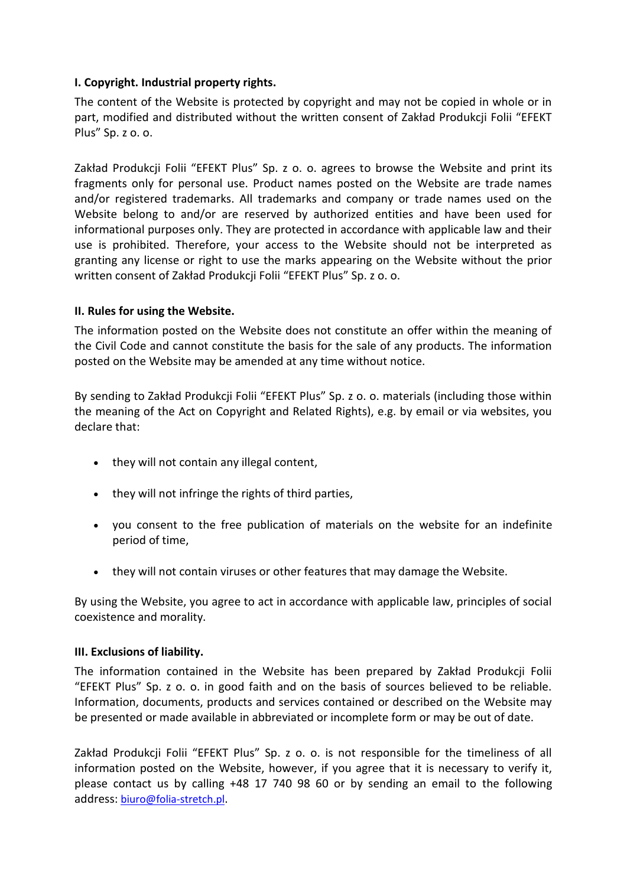# **I. Copyright. Industrial property rights.**

The content of the Website is protected by copyright and may not be copied in whole or in part, modified and distributed without the written consent of Zakład Produkcji Folii "EFEKT Plus" Sp. z o. o.

Zakład Produkcji Folii "EFEKT Plus" Sp. z o. o. agrees to browse the Website and print its fragments only for personal use. Product names posted on the Website are trade names and/or registered trademarks. All trademarks and company or trade names used on the Website belong to and/or are reserved by authorized entities and have been used for informational purposes only. They are protected in accordance with applicable law and their use is prohibited. Therefore, your access to the Website should not be interpreted as granting any license or right to use the marks appearing on the Website without the prior written consent of Zakład Produkcji Folii "EFEKT Plus" Sp. z o. o.

## **II. Rules for using the Website.**

The information posted on the Website does not constitute an offer within the meaning of the Civil Code and cannot constitute the basis for the sale of any products. The information posted on the Website may be amended at any time without notice.

By sending to Zakład Produkcji Folii "EFEKT Plus" Sp. z o. o. materials (including those within the meaning of the Act on Copyright and Related Rights), e.g. by email or via websites, you declare that:

- they will not contain any illegal content,
- they will not infringe the rights of third parties,
- you consent to the free publication of materials on the website for an indefinite period of time,
- they will not contain viruses or other features that may damage the Website.

By using the Website, you agree to act in accordance with applicable law, principles of social coexistence and morality.

#### **III. Exclusions of liability.**

The information contained in the Website has been prepared by Zakład Produkcji Folii "EFEKT Plus" Sp. z o. o. in good faith and on the basis of sources believed to be reliable. Information, documents, products and services contained or described on the Website may be presented or made available in abbreviated or incomplete form or may be out of date.

Zakład Produkcji Folii "EFEKT Plus" Sp. z o. o. is not responsible for the timeliness of all information posted on the Website, however, if you agree that it is necessary to verify it, please contact us by calling +48 17 740 98 60 or by sending an email to the following address: [biuro@folia-stretch.pl](mailto:biuro@folia-stretch.pl).